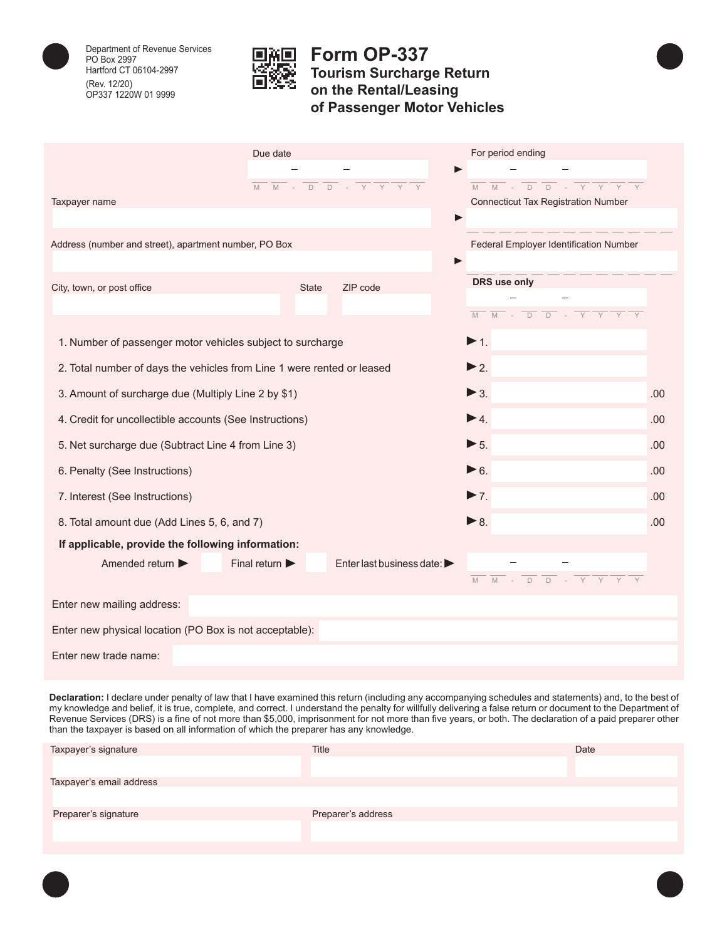

Department of Revenue Services PO Box 2997 Hartford CT 06104-2997 (Rev. 12/20) OP337 1220W 01 9999



## **Form OP-337 Tourism Surcharge Return on the Rental/Leasing of Passenger Motor Vehicles**

|                                                                        | Due date<br>M<br>$M -$             | $\frac{1}{D} \frac{1}{D}$ - $\frac{1}{Y} \frac{1}{Y}$ | For period ending<br>$\blacktriangleright$<br>M                                                                                                                                                                                                                                                                                                          |     |  |  |
|------------------------------------------------------------------------|------------------------------------|-------------------------------------------------------|----------------------------------------------------------------------------------------------------------------------------------------------------------------------------------------------------------------------------------------------------------------------------------------------------------------------------------------------------------|-----|--|--|
| Taxpayer name                                                          |                                    |                                                       | <b>Connecticut Tax Registration Number</b>                                                                                                                                                                                                                                                                                                               |     |  |  |
|                                                                        |                                    |                                                       | ь                                                                                                                                                                                                                                                                                                                                                        |     |  |  |
| Address (number and street), apartment number, PO Box                  |                                    | Federal Employer Identification Number                |                                                                                                                                                                                                                                                                                                                                                          |     |  |  |
|                                                                        |                                    |                                                       |                                                                                                                                                                                                                                                                                                                                                          |     |  |  |
| City, town, or post office                                             | <b>State</b>                       | ZIP code                                              | DRS use only                                                                                                                                                                                                                                                                                                                                             |     |  |  |
|                                                                        |                                    |                                                       | $\overline{M}$ - $\overline{D}$ - $\overline{Y}$ - $\overline{Y}$ - $\overline{Y}$ - $\overline{Y}$ - $\overline{Y}$ - $\overline{Y}$ - $\overline{Y}$ - $\overline{Y}$ - $\overline{Y}$ - $\overline{Y}$ - $\overline{Y}$ - $\overline{Y}$ - $\overline{Y}$ - $\overline{Y}$ - $\overline{Y}$ - $\overline{Y}$ - $\overline{Y}$ - $\overline{Y}$ -<br>M |     |  |  |
| 1. Number of passenger motor vehicles subject to surcharge             |                                    |                                                       | $\blacktriangleright$ 1.                                                                                                                                                                                                                                                                                                                                 |     |  |  |
| 2. Total number of days the vehicles from Line 1 were rented or leased |                                    |                                                       | $\blacktriangleright$ 2.                                                                                                                                                                                                                                                                                                                                 |     |  |  |
| 3. Amount of surcharge due (Multiply Line 2 by \$1)                    |                                    |                                                       | $\blacktriangleright$ 3.                                                                                                                                                                                                                                                                                                                                 | .00 |  |  |
| 4. Credit for uncollectible accounts (See Instructions)                |                                    |                                                       | $\blacktriangleright$ 4.                                                                                                                                                                                                                                                                                                                                 | .00 |  |  |
| 5. Net surcharge due (Subtract Line 4 from Line 3)                     |                                    |                                                       | $\blacktriangleright$ 5.                                                                                                                                                                                                                                                                                                                                 | .00 |  |  |
| 6. Penalty (See Instructions)                                          | $\triangleright$ 6.                | .00                                                   |                                                                                                                                                                                                                                                                                                                                                          |     |  |  |
| 7. Interest (See Instructions)                                         |                                    |                                                       | $\blacktriangleright$ 7.                                                                                                                                                                                                                                                                                                                                 | .00 |  |  |
| 8. Total amount due (Add Lines 5, 6, and 7)                            |                                    |                                                       | $\triangleright$ 8.                                                                                                                                                                                                                                                                                                                                      | .00 |  |  |
| If applicable, provide the following information:                      |                                    |                                                       |                                                                                                                                                                                                                                                                                                                                                          |     |  |  |
| Amended return                                                         | Final return $\blacktriangleright$ | Enter last business date: $\blacktriangleright$       |                                                                                                                                                                                                                                                                                                                                                          |     |  |  |
|                                                                        |                                    |                                                       |                                                                                                                                                                                                                                                                                                                                                          |     |  |  |
| Enter new mailing address:                                             |                                    |                                                       |                                                                                                                                                                                                                                                                                                                                                          |     |  |  |
| Enter new physical location (PO Box is not acceptable):                |                                    |                                                       |                                                                                                                                                                                                                                                                                                                                                          |     |  |  |
| Enter new trade name:                                                  |                                    |                                                       |                                                                                                                                                                                                                                                                                                                                                          |     |  |  |

**Declaration:** I declare under penalty of law that I have examined this return (including any accompanying schedules and statements) and, to the best of my knowledge and belief, it is true, complete, and correct. I understand the penalty for willfully delivering a false return or document to the Department of Revenue Services (DRS) is a fine of not more than \$5,000, imprisonment for not more than five years, or both. The declaration of a paid preparer other than the taxpayer is based on all information of which the preparer has any knowledge.

| Taxpayer's signature     | Title              | Date |
|--------------------------|--------------------|------|
|                          |                    |      |
| Taxpayer's email address |                    |      |
|                          |                    |      |
| Preparer's signature     | Preparer's address |      |
|                          |                    |      |
|                          |                    |      |